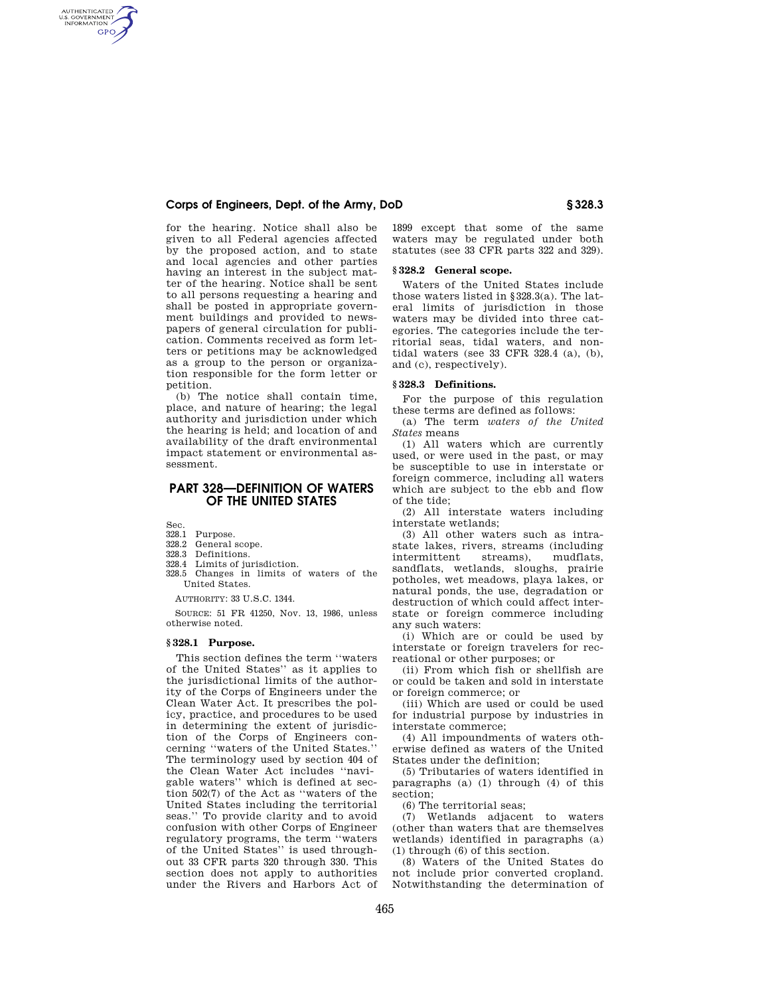## **Corps of Engineers, Dept. of the Army, DoD § 328.3**

for the hearing. Notice shall also be given to all Federal agencies affected by the proposed action, and to state and local agencies and other parties having an interest in the subject matter of the hearing. Notice shall be sent to all persons requesting a hearing and shall be posted in appropriate government buildings and provided to newspapers of general circulation for publication. Comments received as form letters or petitions may be acknowledged as a group to the person or organization responsible for the form letter or petition.

(b) The notice shall contain time, place, and nature of hearing; the legal authority and jurisdiction under which the hearing is held; and location of and availability of the draft environmental impact statement or environmental assessment.

# **PART 328—DEFINITION OF WATERS OF THE UNITED STATES**

Sec.

AUTHENTICATED<br>U.S. GOVERNMENT<br>INFORMATION **GPO** 

- 328.1 Purpose.
- 328.2 General scope.<br>328.3 Definitions
- Definitions.
- 328.4 Limits of jurisdiction.
- 328.5 Changes in limits of waters of the United States.

AUTHORITY: 33 U.S.C. 1344.

SOURCE: 51 FR 41250, Nov. 13, 1986, unless otherwise noted.

## **§ 328.1 Purpose.**

This section defines the term ''waters of the United States'' as it applies to the jurisdictional limits of the authority of the Corps of Engineers under the Clean Water Act. It prescribes the policy, practice, and procedures to be used in determining the extent of jurisdiction of the Corps of Engineers concerning ''waters of the United States.'' The terminology used by section 404 of the Clean Water Act includes ''navigable waters'' which is defined at section 502(7) of the Act as ''waters of the United States including the territorial seas.'' To provide clarity and to avoid confusion with other Corps of Engineer regulatory programs, the term ''waters of the United States'' is used throughout 33 CFR parts 320 through 330. This section does not apply to authorities under the Rivers and Harbors Act of 1899 except that some of the same waters may be regulated under both statutes (see 33 CFR parts 322 and 329).

#### **§ 328.2 General scope.**

Waters of the United States include those waters listed in §328.3(a). The lateral limits of jurisdiction in those waters may be divided into three categories. The categories include the territorial seas, tidal waters, and nontidal waters (see 33 CFR 328.4 (a), (b), and (c), respectively).

#### **§ 328.3 Definitions.**

For the purpose of this regulation these terms are defined as follows:

(a) The term *waters of the United States* means

(1) All waters which are currently used, or were used in the past, or may be susceptible to use in interstate or foreign commerce, including all waters which are subject to the ebb and flow of the tide;

(2) All interstate waters including interstate wetlands;

(3) All other waters such as intrastate lakes, rivers, streams (including intermittent streams), mudflats, sandflats, wetlands, sloughs, prairie potholes, wet meadows, playa lakes, or natural ponds, the use, degradation or destruction of which could affect interstate or foreign commerce including any such waters:

(i) Which are or could be used by interstate or foreign travelers for recreational or other purposes; or

(ii) From which fish or shellfish are or could be taken and sold in interstate or foreign commerce; or

(iii) Which are used or could be used for industrial purpose by industries in interstate commerce;

(4) All impoundments of waters otherwise defined as waters of the United States under the definition;

(5) Tributaries of waters identified in paragraphs (a) (1) through (4) of this section;

(6) The territorial seas;

(7) Wetlands adjacent to waters (other than waters that are themselves wetlands) identified in paragraphs (a) (1) through (6) of this section.

(8) Waters of the United States do not include prior converted cropland. Notwithstanding the determination of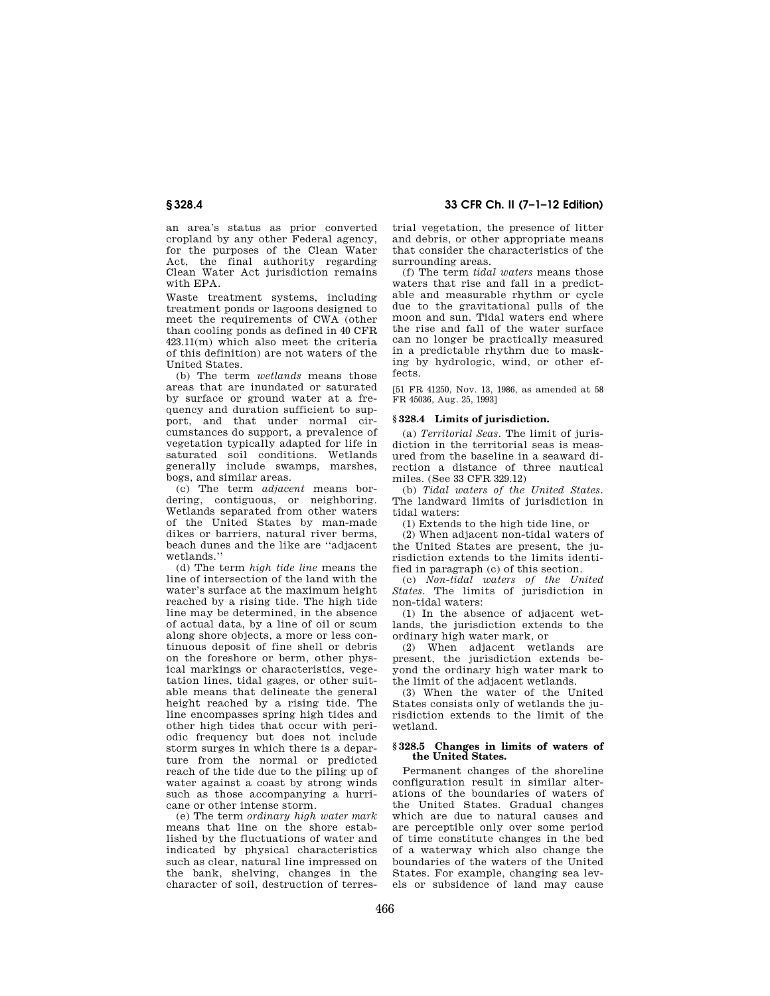an area's status as prior converted cropland by any other Federal agency, for the purposes of the Clean Water Act, the final authority regarding Clean Water Act jurisdiction remains with EPA.

Waste treatment systems, including treatment ponds or lagoons designed to meet the requirements of CWA (other than cooling ponds as defined in 40 CFR 423.11(m) which also meet the criteria of this definition) are not waters of the United States.

(b) The term *wetlands* means those areas that are inundated or saturated by surface or ground water at a frequency and duration sufficient to support, and that under normal circumstances do support, a prevalence of vegetation typically adapted for life in saturated soil conditions. Wetlands generally include swamps, marshes, bogs, and similar areas.

(c) The term *adjacent* means bordering, contiguous, or neighboring. Wetlands separated from other waters of the United States by man-made dikes or barriers, natural river berms, beach dunes and the like are ''adjacent wetlands.''

(d) The term *high tide line* means the line of intersection of the land with the water's surface at the maximum height reached by a rising tide. The high tide line may be determined, in the absence of actual data, by a line of oil or scum along shore objects, a more or less continuous deposit of fine shell or debris on the foreshore or berm, other physical markings or characteristics, vegetation lines, tidal gages, or other suitable means that delineate the general height reached by a rising tide. The line encompasses spring high tides and other high tides that occur with periodic frequency but does not include storm surges in which there is a departure from the normal or predicted reach of the tide due to the piling up of water against a coast by strong winds such as those accompanying a hurricane or other intense storm.

(e) The term *ordinary high water mark*  means that line on the shore established by the fluctuations of water and indicated by physical characteristics such as clear, natural line impressed on the bank, shelving, changes in the character of soil, destruction of terres-

**§ 328.4 33 CFR Ch. II (7–1–12 Edition)** 

trial vegetation, the presence of litter and debris, or other appropriate means that consider the characteristics of the surrounding areas.

(f) The term *tidal waters* means those waters that rise and fall in a predictable and measurable rhythm or cycle due to the gravitational pulls of the moon and sun. Tidal waters end where the rise and fall of the water surface can no longer be practically measured in a predictable rhythm due to masking by hydrologic, wind, or other effects.

[51 FR 41250, Nov. 13, 1986, as amended at 58 FR 45036, Aug. 25, 1993]

# **§ 328.4 Limits of jurisdiction.**

(a) *Territorial Seas.* The limit of jurisdiction in the territorial seas is measured from the baseline in a seaward direction a distance of three nautical miles. (See 33 CFR 329.12)

(b) *Tidal waters of the United States.*  The landward limits of jurisdiction in tidal waters:

(1) Extends to the high tide line, or

(2) When adjacent non-tidal waters of the United States are present, the jurisdiction extends to the limits identified in paragraph (c) of this section.

(c) *Non-tidal waters of the United States.* The limits of jurisdiction in non-tidal waters:

(1) In the absence of adjacent wetlands, the jurisdiction extends to the ordinary high water mark, or

(2) When adjacent wetlands are present, the jurisdiction extends beyond the ordinary high water mark to the limit of the adjacent wetlands.

(3) When the water of the United States consists only of wetlands the jurisdiction extends to the limit of the wetland.

### **§ 328.5 Changes in limits of waters of the United States.**

Permanent changes of the shoreline configuration result in similar alterations of the boundaries of waters of the United States. Gradual changes which are due to natural causes and are perceptible only over some period of time constitute changes in the bed of a waterway which also change the boundaries of the waters of the United States. For example, changing sea levels or subsidence of land may cause